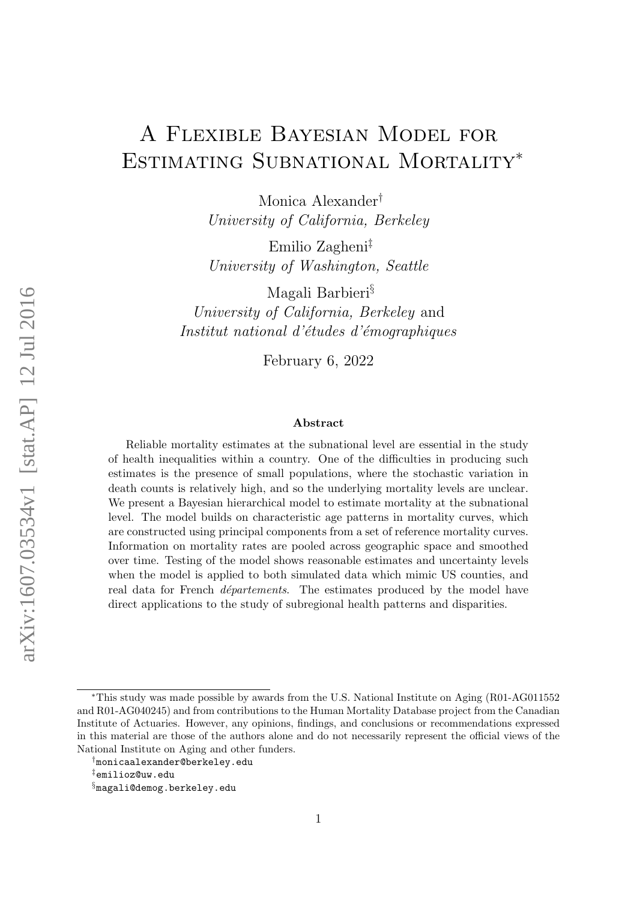# A Flexible Bayesian Model for Estimating Subnational Mortality<sup>∗</sup>

Monica Alexander† University of California, Berkeley

Emilio Zagheni‡ University of Washington, Seattle

Magali Barbieri§ University of California, Berkeley and Institut national d'études d'émographiques

February 6, 2022

#### Abstract

Reliable mortality estimates at the subnational level are essential in the study of health inequalities within a country. One of the difficulties in producing such estimates is the presence of small populations, where the stochastic variation in death counts is relatively high, and so the underlying mortality levels are unclear. We present a Bayesian hierarchical model to estimate mortality at the subnational level. The model builds on characteristic age patterns in mortality curves, which are constructed using principal components from a set of reference mortality curves. Information on mortality rates are pooled across geographic space and smoothed over time. Testing of the model shows reasonable estimates and uncertainty levels when the model is applied to both simulated data which mimic US counties, and real data for French *départements*. The estimates produced by the model have direct applications to the study of subregional health patterns and disparities.

<sup>∗</sup>This study was made possible by awards from the U.S. National Institute on Aging (R01-AG011552 and R01-AG040245) and from contributions to the Human Mortality Database project from the Canadian Institute of Actuaries. However, any opinions, findings, and conclusions or recommendations expressed in this material are those of the authors alone and do not necessarily represent the official views of the National Institute on Aging and other funders.

<sup>†</sup>monicaalexander@berkeley.edu

<sup>‡</sup>emilioz@uw.edu

<sup>§</sup>magali@demog.berkeley.edu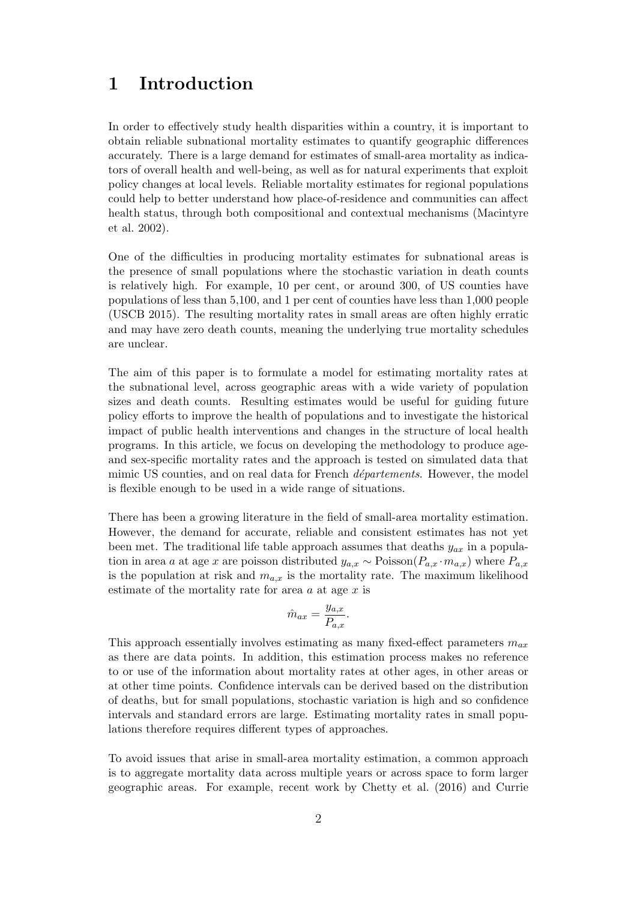## 1 Introduction

In order to effectively study health disparities within a country, it is important to obtain reliable subnational mortality estimates to quantify geographic differences accurately. There is a large demand for estimates of small-area mortality as indicators of overall health and well-being, as well as for natural experiments that exploit policy changes at local levels. Reliable mortality estimates for regional populations could help to better understand how place-of-residence and communities can affect health status, through both compositional and contextual mechanisms (Macintyre et al. 2002).

One of the difficulties in producing mortality estimates for subnational areas is the presence of small populations where the stochastic variation in death counts is relatively high. For example, 10 per cent, or around 300, of US counties have populations of less than 5,100, and 1 per cent of counties have less than 1,000 people (USCB 2015). The resulting mortality rates in small areas are often highly erratic and may have zero death counts, meaning the underlying true mortality schedules are unclear.

The aim of this paper is to formulate a model for estimating mortality rates at the subnational level, across geographic areas with a wide variety of population sizes and death counts. Resulting estimates would be useful for guiding future policy efforts to improve the health of populations and to investigate the historical impact of public health interventions and changes in the structure of local health programs. In this article, we focus on developing the methodology to produce ageand sex-specific mortality rates and the approach is tested on simulated data that mimic US counties, and on real data for French *départements*. However, the model is flexible enough to be used in a wide range of situations.

There has been a growing literature in the field of small-area mortality estimation. However, the demand for accurate, reliable and consistent estimates has not yet been met. The traditional life table approach assumes that deaths  $y_{ax}$  in a population in area a at age x are poisson distributed  $y_{a,x} \sim \text{Poisson}(P_{a,x} \cdot m_{a,x})$  where  $P_{a,x}$ is the population at risk and  $m_{a,x}$  is the mortality rate. The maximum likelihood estimate of the mortality rate for area  $a$  at age  $x$  is

$$
\hat{m}_{ax} = \frac{y_{a,x}}{P_{a,x}}.
$$

This approach essentially involves estimating as many fixed-effect parameters  $m_{ax}$ as there are data points. In addition, this estimation process makes no reference to or use of the information about mortality rates at other ages, in other areas or at other time points. Confidence intervals can be derived based on the distribution of deaths, but for small populations, stochastic variation is high and so confidence intervals and standard errors are large. Estimating mortality rates in small populations therefore requires different types of approaches.

To avoid issues that arise in small-area mortality estimation, a common approach is to aggregate mortality data across multiple years or across space to form larger geographic areas. For example, recent work by Chetty et al. (2016) and Currie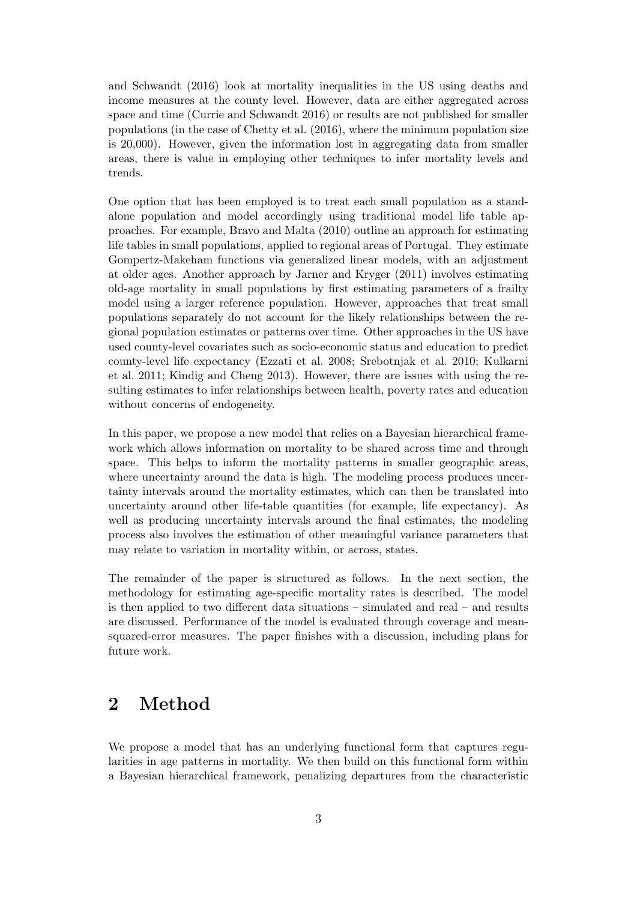and Schwandt (2016) look at mortality inequalities in the US using deaths and income measures at the county level. However, data are either aggregated across space and time (Currie and Schwandt 2016) or results are not published for smaller populations (in the case of Chetty et al. (2016), where the minimum population size is 20,000). However, given the information lost in aggregating data from smaller areas, there is value in employing other techniques to infer mortality levels and trends.

One option that has been employed is to treat each small population as a standalone population and model accordingly using traditional model life table approaches. For example, Bravo and Malta (2010) outline an approach for estimating life tables in small populations, applied to regional areas of Portugal. They estimate Gompertz-Makeham functions via generalized linear models, with an adjustment at older ages. Another approach by Jarner and Kryger (2011) involves estimating old-age mortality in small populations by first estimating parameters of a frailty model using a larger reference population. However, approaches that treat small populations separately do not account for the likely relationships between the regional population estimates or patterns over time. Other approaches in the US have used county-level covariates such as socio-economic status and education to predict county-level life expectancy (Ezzati et al. 2008; Srebotnjak et al. 2010; Kulkarni et al. 2011; Kindig and Cheng 2013). However, there are issues with using the resulting estimates to infer relationships between health, poverty rates and education without concerns of endogeneity.

In this paper, we propose a new model that relies on a Bayesian hierarchical framework which allows information on mortality to be shared across time and through space. This helps to inform the mortality patterns in smaller geographic areas, where uncertainty around the data is high. The modeling process produces uncertainty intervals around the mortality estimates, which can then be translated into uncertainty around other life-table quantities (for example, life expectancy). As well as producing uncertainty intervals around the final estimates, the modeling process also involves the estimation of other meaningful variance parameters that may relate to variation in mortality within, or across, states.

The remainder of the paper is structured as follows. In the next section, the methodology for estimating age-specific mortality rates is described. The model is then applied to two different data situations – simulated and real – and results are discussed. Performance of the model is evaluated through coverage and meansquared-error measures. The paper finishes with a discussion, including plans for future work.

### 2 Method

We propose a model that has an underlying functional form that captures regularities in age patterns in mortality. We then build on this functional form within a Bayesian hierarchical framework, penalizing departures from the characteristic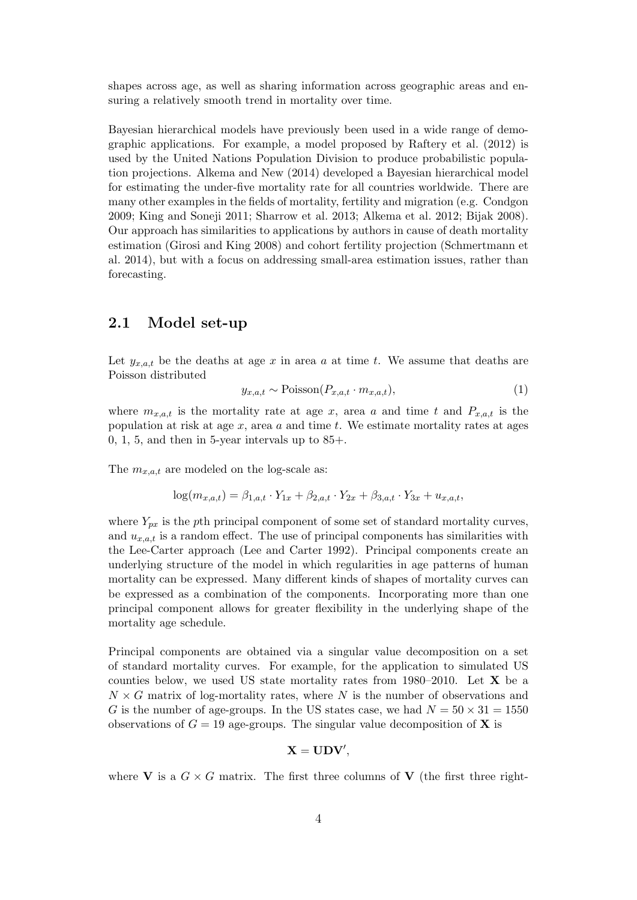shapes across age, as well as sharing information across geographic areas and ensuring a relatively smooth trend in mortality over time.

Bayesian hierarchical models have previously been used in a wide range of demographic applications. For example, a model proposed by Raftery et al. (2012) is used by the United Nations Population Division to produce probabilistic population projections. Alkema and New (2014) developed a Bayesian hierarchical model for estimating the under-five mortality rate for all countries worldwide. There are many other examples in the fields of mortality, fertility and migration (e.g. Condgon 2009; King and Soneji 2011; Sharrow et al. 2013; Alkema et al. 2012; Bijak 2008). Our approach has similarities to applications by authors in cause of death mortality estimation (Girosi and King 2008) and cohort fertility projection (Schmertmann et al. 2014), but with a focus on addressing small-area estimation issues, rather than forecasting.

### 2.1 Model set-up

Let  $y_{x,a,t}$  be the deaths at age x in area a at time t. We assume that deaths are Poisson distributed

<span id="page-3-0"></span>
$$
y_{x,a,t} \sim \text{Poisson}(P_{x,a,t} \cdot m_{x,a,t}),\tag{1}
$$

where  $m_{x,a,t}$  is the mortality rate at age x, area a and time t and  $P_{x,a,t}$  is the population at risk at age  $x$ , area  $a$  and time  $t$ . We estimate mortality rates at ages  $0, 1, 5$ , and then in 5-year intervals up to  $85+$ .

The  $m_{x,a,t}$  are modeled on the log-scale as:

$$
\log(m_{x,a,t}) = \beta_{1,a,t} \cdot Y_{1x} + \beta_{2,a,t} \cdot Y_{2x} + \beta_{3,a,t} \cdot Y_{3x} + u_{x,a,t},
$$

where  $Y_{px}$  is the pth principal component of some set of standard mortality curves, and  $u_{x,a,t}$  is a random effect. The use of principal components has similarities with the Lee-Carter approach (Lee and Carter 1992). Principal components create an underlying structure of the model in which regularities in age patterns of human mortality can be expressed. Many different kinds of shapes of mortality curves can be expressed as a combination of the components. Incorporating more than one principal component allows for greater flexibility in the underlying shape of the mortality age schedule.

Principal components are obtained via a singular value decomposition on a set of standard mortality curves. For example, for the application to simulated US counties below, we used US state mortality rates from 1980–2010. Let  $X$  be a  $N \times G$  matrix of log-mortality rates, where N is the number of observations and G is the number of age-groups. In the US states case, we had  $N = 50 \times 31 = 1550$ observations of  $G = 19$  age-groups. The singular value decomposition of **X** is

$$
\mathbf{X}=\mathbf{UDV}^{\prime},
$$

where **V** is a  $G \times G$  matrix. The first three columns of **V** (the first three right-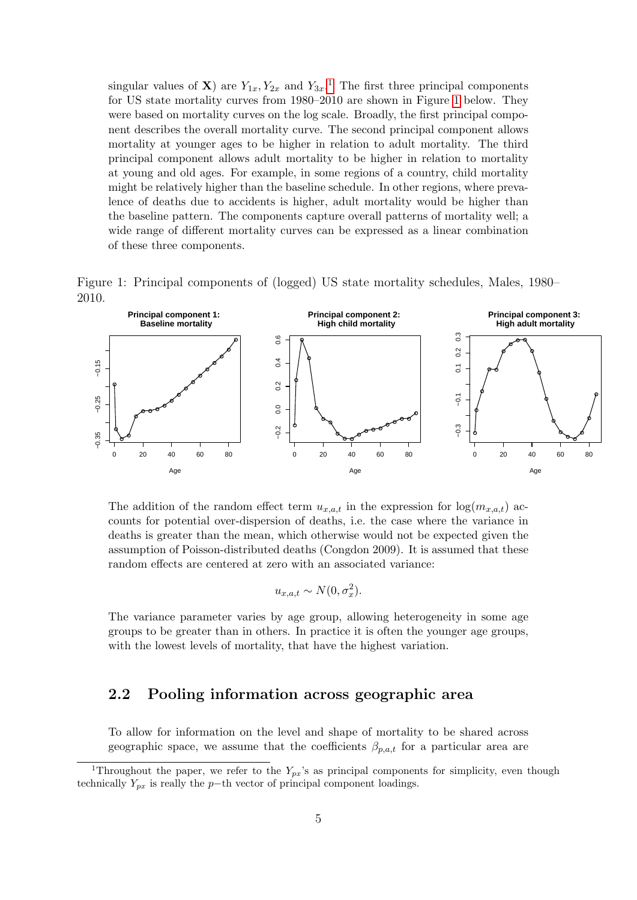singular values of **X**) are  $Y_{1x}$  $Y_{1x}$  $Y_{1x}$ ,  $Y_{2x}$  and  $Y_{3x}$ .<sup>1</sup> The first three principal components for US state mortality curves from 1980–2010 are shown in Figure [1](#page-4-1) below. They were based on mortality curves on the log scale. Broadly, the first principal component describes the overall mortality curve. The second principal component allows mortality at younger ages to be higher in relation to adult mortality. The third principal component allows adult mortality to be higher in relation to mortality at young and old ages. For example, in some regions of a country, child mortality might be relatively higher than the baseline schedule. In other regions, where prevalence of deaths due to accidents is higher, adult mortality would be higher than the baseline pattern. The components capture overall patterns of mortality well; a wide range of different mortality curves can be expressed as a linear combination of these three components.

Figure 1: Principal components of (logged) US state mortality schedules, Males, 1980– 2010.

<span id="page-4-1"></span>

The addition of the random effect term  $u_{x,a,t}$  in the expression for  $\log(m_{x,a,t})$  accounts for potential over-dispersion of deaths, i.e. the case where the variance in deaths is greater than the mean, which otherwise would not be expected given the assumption of Poisson-distributed deaths (Congdon 2009). It is assumed that these random effects are centered at zero with an associated variance:

$$
u_{x,a,t} \sim N(0, \sigma_x^2).
$$

The variance parameter varies by age group, allowing heterogeneity in some age groups to be greater than in others. In practice it is often the younger age groups, with the lowest levels of mortality, that have the highest variation.

#### 2.2 Pooling information across geographic area

To allow for information on the level and shape of mortality to be shared across geographic space, we assume that the coefficients  $\beta_{p,a,t}$  for a particular area are

<span id="page-4-0"></span><sup>&</sup>lt;sup>1</sup>Throughout the paper, we refer to the  $Y_{px}$ 's as principal components for simplicity, even though technically  $Y_{px}$  is really the p−th vector of principal component loadings.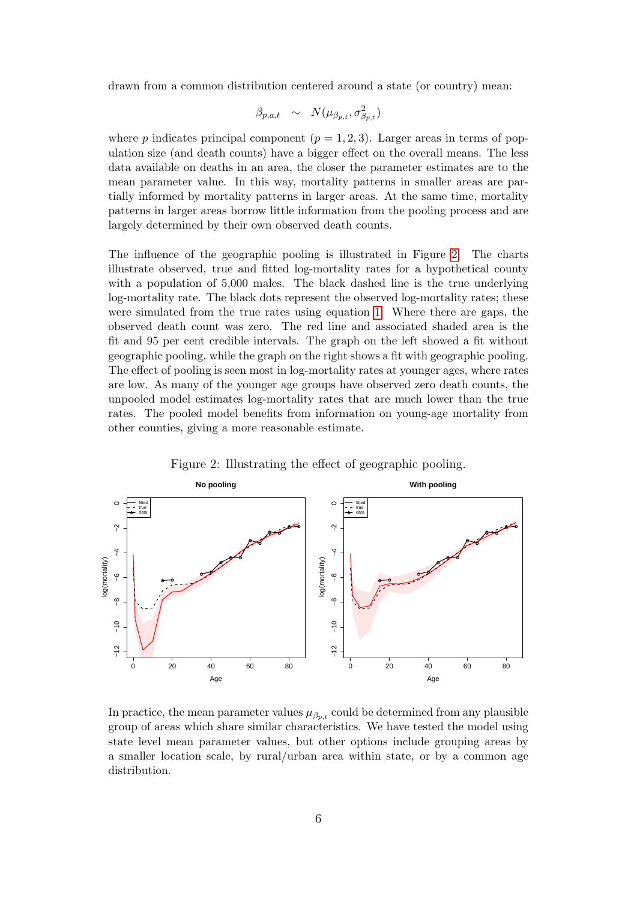drawn from a common distribution centered around a state (or country) mean:

$$
\beta_{p,a,t} \sim N(\mu_{\beta_{p,t}}, \sigma_{\beta_{p,t}}^2)
$$

where p indicates principal component  $(p = 1, 2, 3)$ . Larger areas in terms of population size (and death counts) have a bigger effect on the overall means. The less data available on deaths in an area, the closer the parameter estimates are to the mean parameter value. In this way, mortality patterns in smaller areas are partially informed by mortality patterns in larger areas. At the same time, mortality patterns in larger areas borrow little information from the pooling process and are largely determined by their own observed death counts.

The influence of the geographic pooling is illustrated in Figure [2.](#page-5-0) The charts illustrate observed, true and fitted log-mortality rates for a hypothetical county with a population of 5,000 males. The black dashed line is the true underlying log-mortality rate. The black dots represent the observed log-mortality rates; these were simulated from the true rates using equation [1.](#page-3-0) Where there are gaps, the observed death count was zero. The red line and associated shaded area is the fit and 95 per cent credible intervals. The graph on the left showed a fit without geographic pooling, while the graph on the right shows a fit with geographic pooling. The effect of pooling is seen most in log-mortality rates at younger ages, where rates are low. As many of the younger age groups have observed zero death counts, the unpooled model estimates log-mortality rates that are much lower than the true rates. The pooled model benefits from information on young-age mortality from other counties, giving a more reasonable estimate.



<span id="page-5-0"></span>Figure 2: Illustrating the effect of geographic pooling.

In practice, the mean parameter values  $\mu_{\beta_{p,t}}$  could be determined from any plausible group of areas which share similar characteristics. We have tested the model using state level mean parameter values, but other options include grouping areas by a smaller location scale, by rural/urban area within state, or by a common age distribution.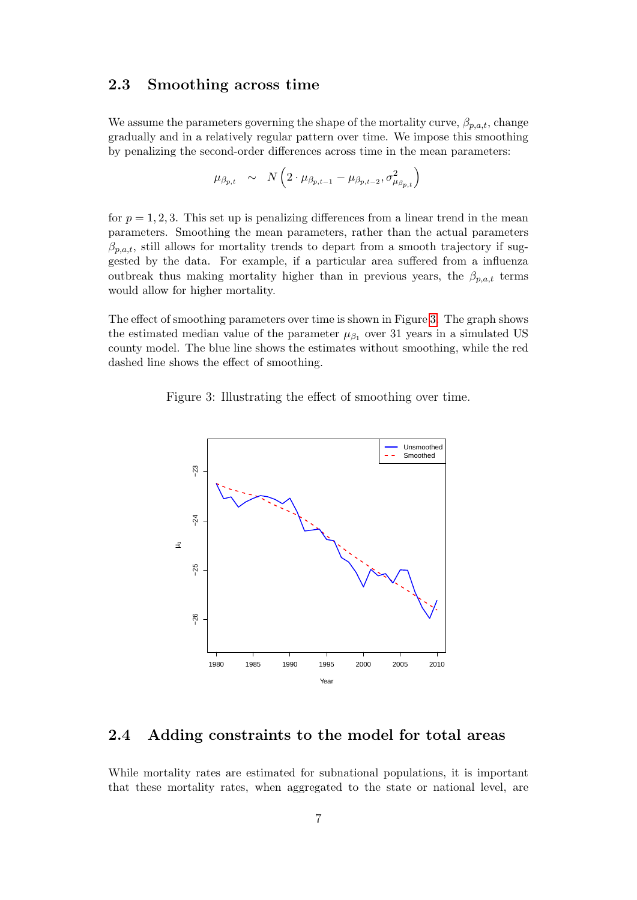#### 2.3 Smoothing across time

We assume the parameters governing the shape of the mortality curve,  $\beta_{p,a,t}$ , change gradually and in a relatively regular pattern over time. We impose this smoothing by penalizing the second-order differences across time in the mean parameters:

$$
\mu_{\beta_{p,t}} \sim N\left(2 \cdot \mu_{\beta_{p,t-1}} - \mu_{\beta_{p,t-2}}, \sigma_{\mu_{\beta_{p,t}}}\right)
$$

for  $p = 1, 2, 3$ . This set up is penalizing differences from a linear trend in the mean parameters. Smoothing the mean parameters, rather than the actual parameters  $\beta_{p,a,t}$ , still allows for mortality trends to depart from a smooth trajectory if suggested by the data. For example, if a particular area suffered from a influenza outbreak thus making mortality higher than in previous years, the  $\beta_{p,a,t}$  terms would allow for higher mortality.

The effect of smoothing parameters over time is shown in Figure [3.](#page-6-0) The graph shows the estimated median value of the parameter  $\mu_{\beta_1}$  over 31 years in a simulated US county model. The blue line shows the estimates without smoothing, while the red dashed line shows the effect of smoothing.

<span id="page-6-0"></span>Figure 3: Illustrating the effect of smoothing over time.



### 2.4 Adding constraints to the model for total areas

While mortality rates are estimated for subnational populations, it is important that these mortality rates, when aggregated to the state or national level, are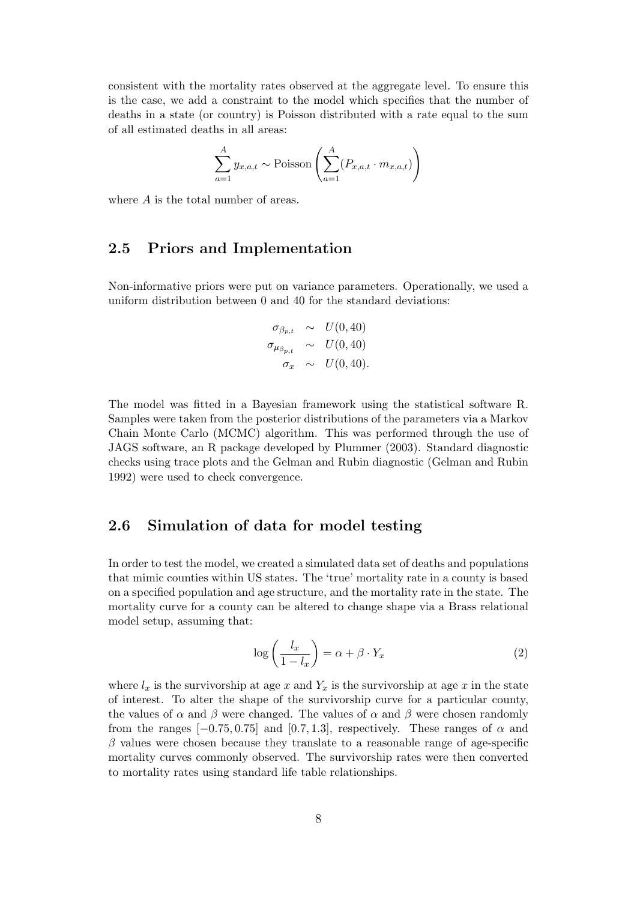consistent with the mortality rates observed at the aggregate level. To ensure this is the case, we add a constraint to the model which specifies that the number of deaths in a state (or country) is Poisson distributed with a rate equal to the sum of all estimated deaths in all areas:

$$
\sum_{a=1}^{A} y_{x,a,t} \sim \text{Poisson}\left(\sum_{a=1}^{A} (P_{x,a,t} \cdot m_{x,a,t})\right)
$$

where A is the total number of areas.

#### 2.5 Priors and Implementation

Non-informative priors were put on variance parameters. Operationally, we used a uniform distribution between 0 and 40 for the standard deviations:

$$
\begin{array}{rcl}\n\sigma_{\beta_{p,t}} & \sim & U(0,40) \\
\sigma_{\mu_{\beta_{p,t}}} & \sim & U(0,40) \\
\sigma_x & \sim & U(0,40).\n\end{array}
$$

The model was fitted in a Bayesian framework using the statistical software R. Samples were taken from the posterior distributions of the parameters via a Markov Chain Monte Carlo (MCMC) algorithm. This was performed through the use of JAGS software, an R package developed by Plummer (2003). Standard diagnostic checks using trace plots and the Gelman and Rubin diagnostic (Gelman and Rubin 1992) were used to check convergence.

#### 2.6 Simulation of data for model testing

In order to test the model, we created a simulated data set of deaths and populations that mimic counties within US states. The 'true' mortality rate in a county is based on a specified population and age structure, and the mortality rate in the state. The mortality curve for a county can be altered to change shape via a Brass relational model setup, assuming that:

<span id="page-7-0"></span>
$$
\log\left(\frac{l_x}{1-l_x}\right) = \alpha + \beta \cdot Y_x \tag{2}
$$

where  $l_x$  is the survivorship at age x and  $Y_x$  is the survivorship at age x in the state of interest. To alter the shape of the survivorship curve for a particular county, the values of  $\alpha$  and  $\beta$  were changed. The values of  $\alpha$  and  $\beta$  were chosen randomly from the ranges  $[-0.75, 0.75]$  and  $[0.7, 1.3]$ , respectively. These ranges of  $\alpha$  and  $\beta$  values were chosen because they translate to a reasonable range of age-specific mortality curves commonly observed. The survivorship rates were then converted to mortality rates using standard life table relationships.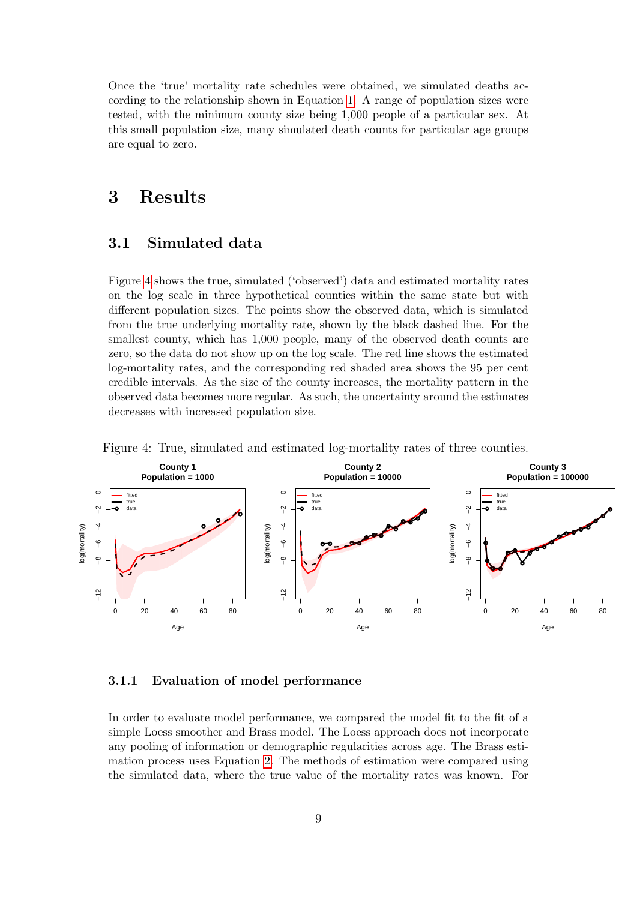Once the 'true' mortality rate schedules were obtained, we simulated deaths according to the relationship shown in Equation [1.](#page-3-0) A range of population sizes were tested, with the minimum county size being 1,000 people of a particular sex. At this small population size, many simulated death counts for particular age groups are equal to zero.

### 3 Results

### 3.1 Simulated data

Figure [4](#page-8-0) shows the true, simulated ('observed') data and estimated mortality rates on the log scale in three hypothetical counties within the same state but with different population sizes. The points show the observed data, which is simulated from the true underlying mortality rate, shown by the black dashed line. For the smallest county, which has 1,000 people, many of the observed death counts are zero, so the data do not show up on the log scale. The red line shows the estimated log-mortality rates, and the corresponding red shaded area shows the 95 per cent credible intervals. As the size of the county increases, the mortality pattern in the observed data becomes more regular. As such, the uncertainty around the estimates decreases with increased population size.



<span id="page-8-0"></span>Figure 4: True, simulated and estimated log-mortality rates of three counties.

#### 3.1.1 Evaluation of model performance

In order to evaluate model performance, we compared the model fit to the fit of a simple Loess smoother and Brass model. The Loess approach does not incorporate any pooling of information or demographic regularities across age. The Brass estimation process uses Equation [2.](#page-7-0) The methods of estimation were compared using the simulated data, where the true value of the mortality rates was known. For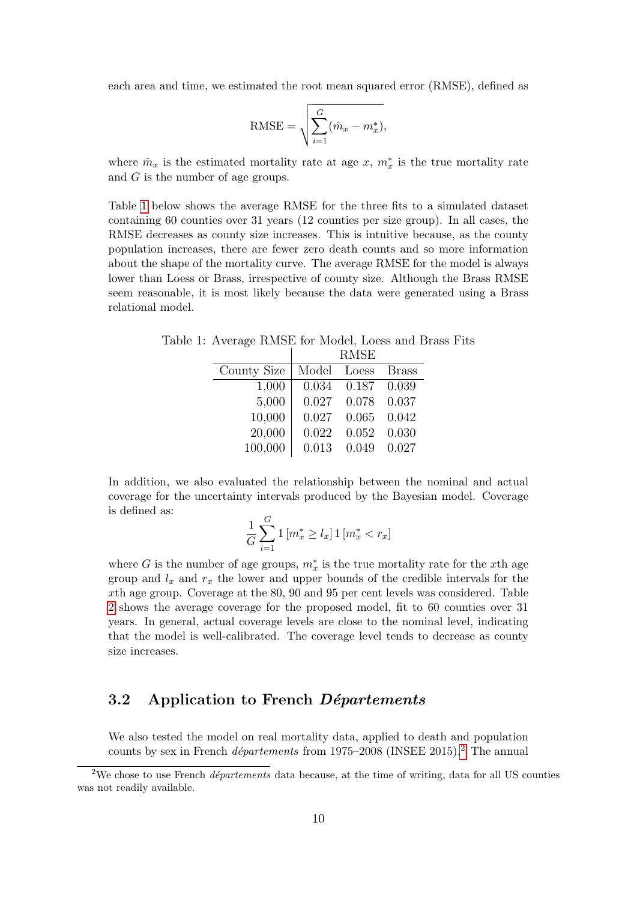each area and time, we estimated the root mean squared error (RMSE), defined as

$$
RMSE = \sqrt{\sum_{i=1}^{G} (\hat{m}_x - m_x^*)},
$$

where  $\hat{m}_x$  is the estimated mortality rate at age x,  $m_x^*$  is the true mortality rate and G is the number of age groups.

Table [1](#page-9-0) below shows the average RMSE for the three fits to a simulated dataset containing 60 counties over 31 years (12 counties per size group). In all cases, the RMSE decreases as county size increases. This is intuitive because, as the county population increases, there are fewer zero death counts and so more information about the shape of the mortality curve. The average RMSE for the model is always lower than Loess or Brass, irrespective of county size. Although the Brass RMSE seem reasonable, it is most likely because the data were generated using a Brass relational model.

Table 1: Average RMSE for Model, Loess and Brass Fits  $\mathbb{R}$ RMSE

<span id="page-9-0"></span>

| County Size | Model Loess |       | Brass |
|-------------|-------------|-------|-------|
| 1,000       | 0.034       | 0.187 | 0.039 |
| 5,000       | 0.027       | 0.078 | 0.037 |
| 10,000      | 0.027       | 0.065 | 0.042 |
| 20,000      | 0.022       | 0.052 | 0.030 |
| 100,000     | 0.013       | 0.049 | 0.027 |
|             |             |       |       |

In addition, we also evaluated the relationship between the nominal and actual coverage for the uncertainty intervals produced by the Bayesian model. Coverage is defined as:

$$
\frac{1}{G} \sum_{i=1}^{G} \mathbf{1} \left[ m_x^* \ge l_x \right] \mathbf{1} \left[ m_x^* < r_x \right]
$$

where G is the number of age groups,  $m_x^*$  is the true mortality rate for the x<sup>th</sup> age group and  $l_x$  and  $r_x$  the lower and upper bounds of the credible intervals for the xth age group. Coverage at the 80, 90 and 95 per cent levels was considered. Table [2](#page-10-0) shows the average coverage for the proposed model, fit to 60 counties over 31 years. In general, actual coverage levels are close to the nominal level, indicating that the model is well-calibrated. The coverage level tends to decrease as county size increases.

#### 3.2 Application to French Départements

We also tested the model on real mortality data, applied to death and population counts by sex in French *départements* from 1975–[2](#page-9-1)008 (INSEE 2015).<sup>2</sup> The annual

<span id="page-9-1"></span><sup>&</sup>lt;sup>2</sup>We chose to use French *départements* data because, at the time of writing, data for all US counties was not readily available.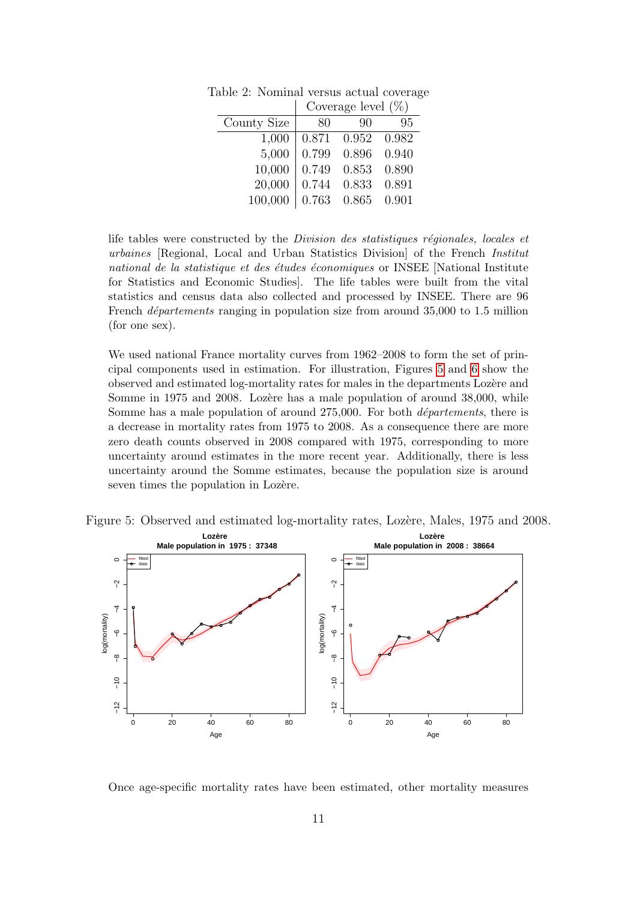<span id="page-10-0"></span>

|             | Coverage level $(\%)$ |       |       |
|-------------|-----------------------|-------|-------|
| County Size | 80                    | 90    | 95    |
| 1,000       | 0.871                 | 0.952 | 0.982 |
| 5,000       | 0.799                 | 0.896 | 0.940 |
| 10,000      | 0.749                 | 0.853 | 0.890 |
| 20,000      | 0.744                 | 0.833 | 0.891 |
| 100,000     | 0.763                 | 0.865 | 0.901 |

Table 2: Nominal versus actual coverage

life tables were constructed by the *Division des statistiques régionales, locales et* urbaines [Regional, Local and Urban Statistics Division] of the French Institut national de la statistique et des études économiques or INSEE [National Institute for Statistics and Economic Studies]. The life tables were built from the vital statistics and census data also collected and processed by INSEE. There are 96 French *départements* ranging in population size from around  $35,000$  to 1.5 million (for one sex).

We used national France mortality curves from 1962–2008 to form the set of principal components used in estimation. For illustration, Figures [5](#page-10-1) and [6](#page-11-0) show the observed and estimated log-mortality rates for males in the departments Loz`ere and Somme in 1975 and 2008. Lozere has a male population of around 38,000, while Somme has a male population of around  $275,000$ . For both *départements*, there is a decrease in mortality rates from 1975 to 2008. As a consequence there are more zero death counts observed in 2008 compared with 1975, corresponding to more uncertainty around estimates in the more recent year. Additionally, there is less uncertainty around the Somme estimates, because the population size is around seven times the population in Lozère.



<span id="page-10-1"></span>

Once age-specific mortality rates have been estimated, other mortality measures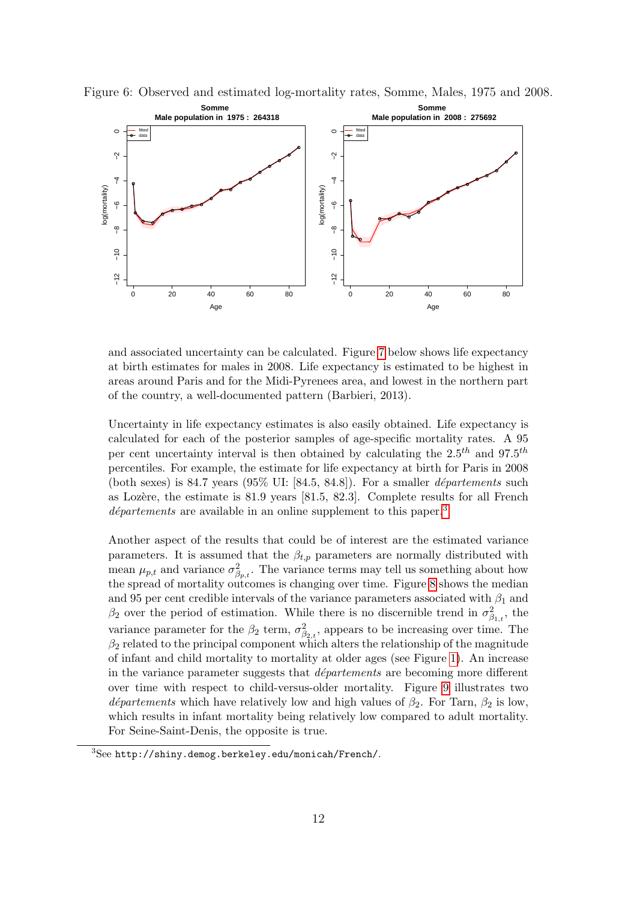<span id="page-11-0"></span>

Figure 6: Observed and estimated log-mortality rates, Somme, Males, 1975 and 2008.

and associated uncertainty can be calculated. Figure [7](#page-12-0) below shows life expectancy at birth estimates for males in 2008. Life expectancy is estimated to be highest in areas around Paris and for the Midi-Pyrenees area, and lowest in the northern part of the country, a well-documented pattern (Barbieri, 2013).

Uncertainty in life expectancy estimates is also easily obtained. Life expectancy is calculated for each of the posterior samples of age-specific mortality rates. A 95 per cent uncertainty interval is then obtained by calculating the  $2.5^{th}$  and  $97.5^{th}$ percentiles. For example, the estimate for life expectancy at birth for Paris in 2008 (both sexes) is 84.7 years  $(95\% \text{ UI: } [84.5, 84.8])$ . For a smaller *départements* such as Lozère, the estimate is  $81.9$  years  $[81.5, 82.3]$ . Complete results for all French  $d\acute{e}partements$  are available in an online supplement to this paper.<sup>[3](#page-11-1)</sup>

Another aspect of the results that could be of interest are the estimated variance parameters. It is assumed that the  $\beta_{t,p}$  parameters are normally distributed with mean  $\mu_{p,t}$  and variance  $\sigma_{\beta_{p,t}}^2$ . The variance terms may tell us something about how the spread of mortality outcomes is changing over time. Figure [8](#page-12-1) shows the median and 95 per cent credible intervals of the variance parameters associated with  $\beta_1$  and  $\beta_2$  over the period of estimation. While there is no discernible trend in  $\sigma_{\beta_{1,t}}^2$ , the variance parameter for the  $\beta_2$  term,  $\sigma_{\beta_{2,t}}^2$ , appears to be increasing over time. The  $\beta_2$  related to the principal component which alters the relationship of the magnitude of infant and child mortality to mortality at older ages (see Figure [1\)](#page-4-1). An increase in the variance parameter suggests that *départements* are becoming more different over time with respect to child-versus-older mortality. Figure [9](#page-13-0) illustrates two départements which have relatively low and high values of  $\beta_2$ . For Tarn,  $\beta_2$  is low, which results in infant mortality being relatively low compared to adult mortality. For Seine-Saint-Denis, the opposite is true.

<span id="page-11-1"></span><sup>3</sup>See http://shiny.demog.berkeley.edu/monicah/French/.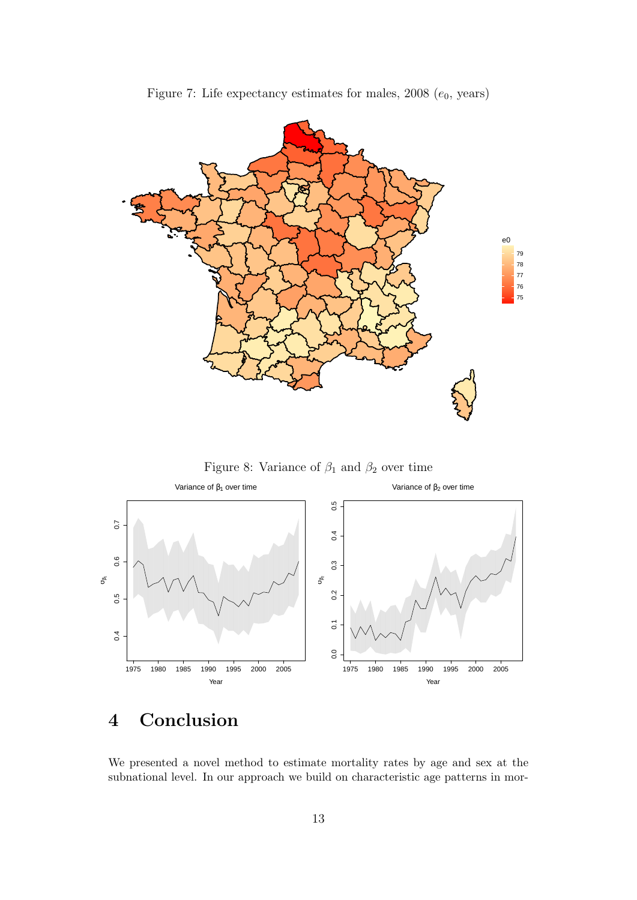

<span id="page-12-0"></span>

<span id="page-12-1"></span>



# 4 Conclusion

We presented a novel method to estimate mortality rates by age and sex at the subnational level. In our approach we build on characteristic age patterns in mor-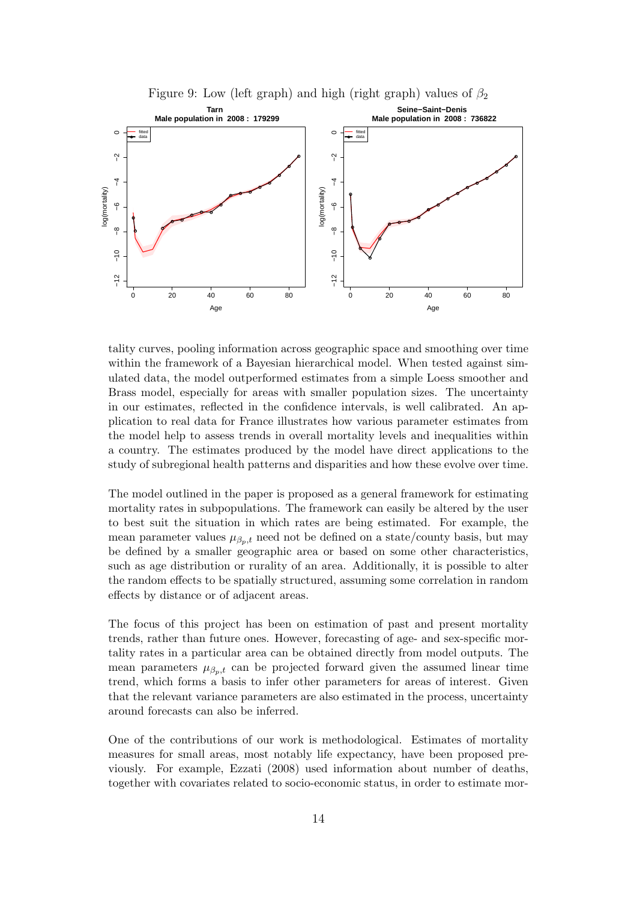<span id="page-13-0"></span>

tality curves, pooling information across geographic space and smoothing over time within the framework of a Bayesian hierarchical model. When tested against simulated data, the model outperformed estimates from a simple Loess smoother and Brass model, especially for areas with smaller population sizes. The uncertainty in our estimates, reflected in the confidence intervals, is well calibrated. An application to real data for France illustrates how various parameter estimates from the model help to assess trends in overall mortality levels and inequalities within a country. The estimates produced by the model have direct applications to the study of subregional health patterns and disparities and how these evolve over time.

The model outlined in the paper is proposed as a general framework for estimating mortality rates in subpopulations. The framework can easily be altered by the user to best suit the situation in which rates are being estimated. For example, the mean parameter values  $\mu_{\beta_p,t}$  need not be defined on a state/county basis, but may be defined by a smaller geographic area or based on some other characteristics, such as age distribution or rurality of an area. Additionally, it is possible to alter the random effects to be spatially structured, assuming some correlation in random effects by distance or of adjacent areas.

The focus of this project has been on estimation of past and present mortality trends, rather than future ones. However, forecasting of age- and sex-specific mortality rates in a particular area can be obtained directly from model outputs. The mean parameters  $\mu_{\beta_p,t}$  can be projected forward given the assumed linear time trend, which forms a basis to infer other parameters for areas of interest. Given that the relevant variance parameters are also estimated in the process, uncertainty around forecasts can also be inferred.

One of the contributions of our work is methodological. Estimates of mortality measures for small areas, most notably life expectancy, have been proposed previously. For example, Ezzati (2008) used information about number of deaths, together with covariates related to socio-economic status, in order to estimate mor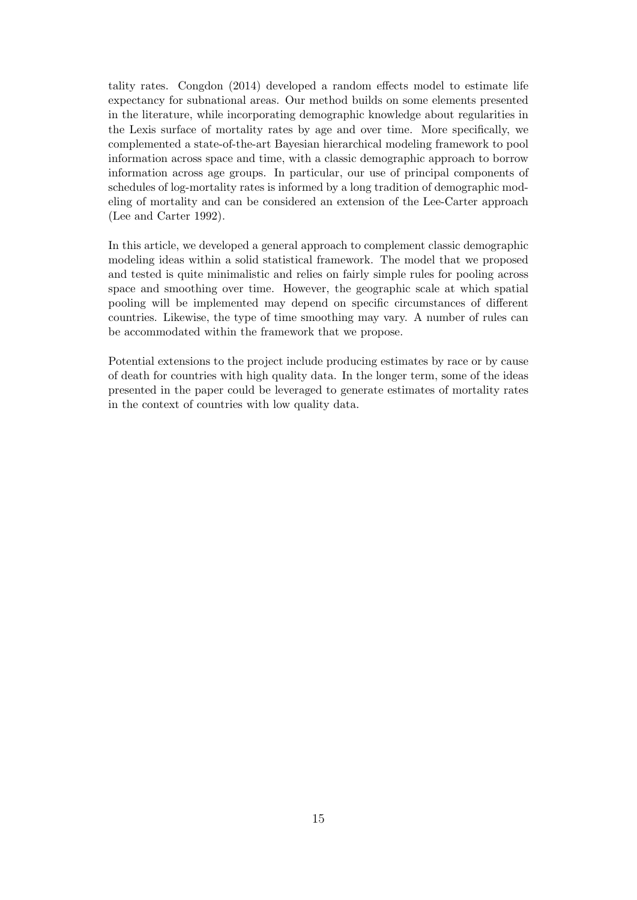tality rates. Congdon (2014) developed a random effects model to estimate life expectancy for subnational areas. Our method builds on some elements presented in the literature, while incorporating demographic knowledge about regularities in the Lexis surface of mortality rates by age and over time. More specifically, we complemented a state-of-the-art Bayesian hierarchical modeling framework to pool information across space and time, with a classic demographic approach to borrow information across age groups. In particular, our use of principal components of schedules of log-mortality rates is informed by a long tradition of demographic modeling of mortality and can be considered an extension of the Lee-Carter approach (Lee and Carter 1992).

In this article, we developed a general approach to complement classic demographic modeling ideas within a solid statistical framework. The model that we proposed and tested is quite minimalistic and relies on fairly simple rules for pooling across space and smoothing over time. However, the geographic scale at which spatial pooling will be implemented may depend on specific circumstances of different countries. Likewise, the type of time smoothing may vary. A number of rules can be accommodated within the framework that we propose.

Potential extensions to the project include producing estimates by race or by cause of death for countries with high quality data. In the longer term, some of the ideas presented in the paper could be leveraged to generate estimates of mortality rates in the context of countries with low quality data.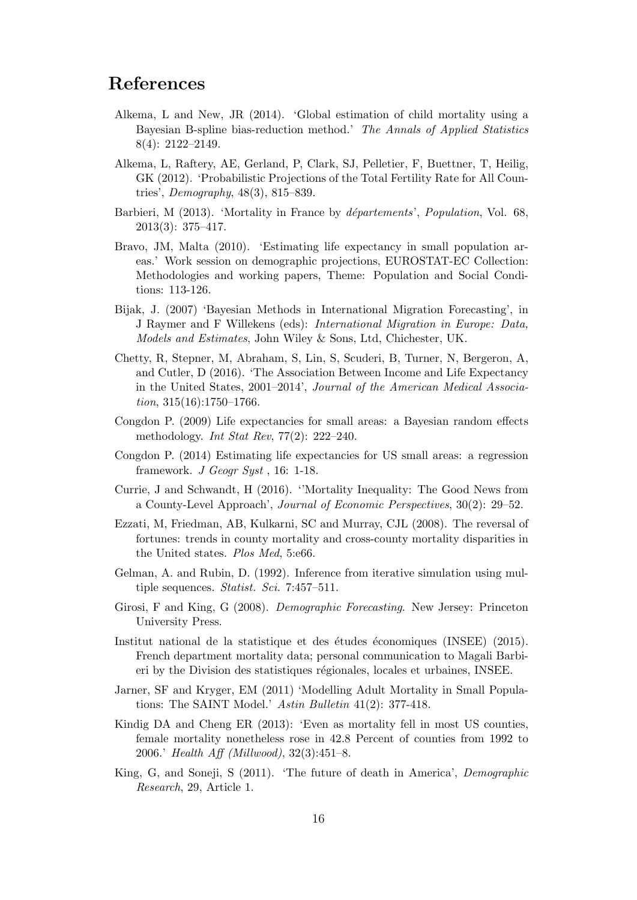### References

- Alkema, L and New, JR (2014). 'Global estimation of child mortality using a Bayesian B-spline bias-reduction method.' The Annals of Applied Statistics 8(4): 2122–2149.
- Alkema, L, Raftery, AE, Gerland, P, Clark, SJ, Pelletier, F, Buettner, T, Heilig, GK (2012). 'Probabilistic Projections of the Total Fertility Rate for All Countries', Demography, 48(3), 815–839.
- Barbieri, M (2013). 'Mortality in France by *départements'*, *Population*, Vol. 68, 2013(3): 375–417.
- Bravo, JM, Malta (2010). 'Estimating life expectancy in small population areas.' Work session on demographic projections, EUROSTAT-EC Collection: Methodologies and working papers, Theme: Population and Social Conditions: 113-126.
- Bijak, J. (2007) 'Bayesian Methods in International Migration Forecasting', in J Raymer and F Willekens (eds): International Migration in Europe: Data, Models and Estimates, John Wiley & Sons, Ltd, Chichester, UK.
- Chetty, R, Stepner, M, Abraham, S, Lin, S, Scuderi, B, Turner, N, Bergeron, A, and Cutler, D (2016). 'The Association Between Income and Life Expectancy in the United States, 2001–2014', Journal of the American Medical Association,  $315(16):1750-1766$ .
- Congdon P. (2009) Life expectancies for small areas: a Bayesian random effects methodology. Int Stat Rev, 77(2): 222–240.
- Congdon P. (2014) Estimating life expectancies for US small areas: a regression framework. J Geogr Syst , 16: 1-18.
- Currie, J and Schwandt, H (2016). ''Mortality Inequality: The Good News from a County-Level Approach', Journal of Economic Perspectives, 30(2): 29–52.
- Ezzati, M, Friedman, AB, Kulkarni, SC and Murray, CJL (2008). The reversal of fortunes: trends in county mortality and cross-county mortality disparities in the United states. Plos Med, 5:e66.
- Gelman, A. and Rubin, D. (1992). Inference from iterative simulation using multiple sequences. *Statist. Sci.* 7:457-511.
- Girosi, F and King, G (2008). Demographic Forecasting. New Jersey: Princeton University Press.
- Institut national de la statistique et des études économiques (INSEE) (2015). French department mortality data; personal communication to Magali Barbieri by the Division des statistiques régionales, locales et urbaines, INSEE.
- Jarner, SF and Kryger, EM (2011) 'Modelling Adult Mortality in Small Populations: The SAINT Model.' Astin Bulletin 41(2): 377-418.
- Kindig DA and Cheng ER (2013): 'Even as mortality fell in most US counties, female mortality nonetheless rose in 42.8 Percent of counties from 1992 to 2006.' Health Aff (Millwood), 32(3):451–8.
- King, G, and Soneji, S (2011). 'The future of death in America', Demographic Research, 29, Article 1.